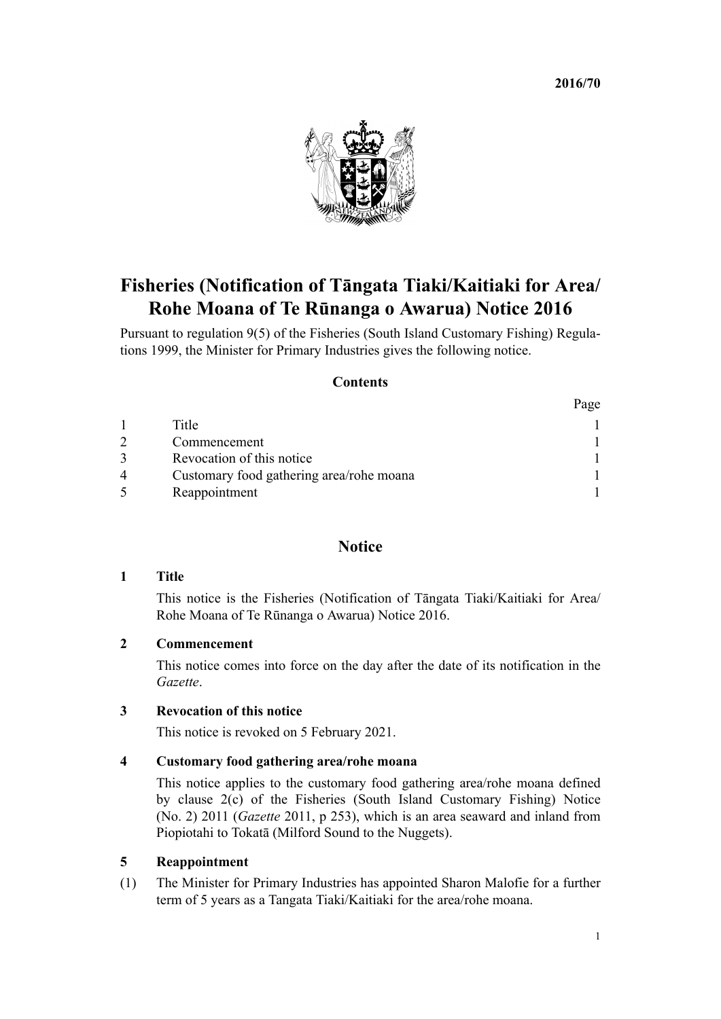**2016/70**

 $D_{\Omega}$ 



# **Fisheries (Notification of Tāngata Tiaki/Kaitiaki for Area/ Rohe Moana of Te Rūnanga o Awarua) Notice 2016**

Pursuant to [regulation 9\(5\)](http://prd-lgnz-nlb.prd.pco.net.nz/pdflink.aspx?id=DLM297629) of the Fisheries (South Island Customary Fishing) Regulations 1999, the Minister for Primary Industries gives the following notice.

## **Contents**

|   |                                          | $\mathbf{u}$ |
|---|------------------------------------------|--------------|
|   | Title                                    |              |
|   | Commencement                             |              |
|   | Revocation of this notice.               |              |
| 4 | Customary food gathering area/rohe moana |              |
|   | Reappointment                            |              |

# **Notice**

### **1 Title**

This notice is the Fisheries (Notification of Tāngata Tiaki/Kaitiaki for Area/ Rohe Moana of Te Rūnanga o Awarua) Notice 2016.

# **2 Commencement**

This notice comes into force on the day after the date of its notification in the *Gazette*.

### **3 Revocation of this notice**

This notice is revoked on 5 February 2021.

#### **4 Customary food gathering area/rohe moana**

This notice applies to the customary food gathering area/rohe moana defined by clause 2(c) of the Fisheries (South Island Customary Fishing) Notice (No. 2) 2011 (*Gazette* 2011, p 253), which is an area seaward and inland from Piopiotahi to Tokatā (Milford Sound to the Nuggets).

#### **5 Reappointment**

(1) The Minister for Primary Industries has appointed Sharon Malofie for a further term of 5 years as a Tangata Tiaki/Kaitiaki for the area/rohe moana.